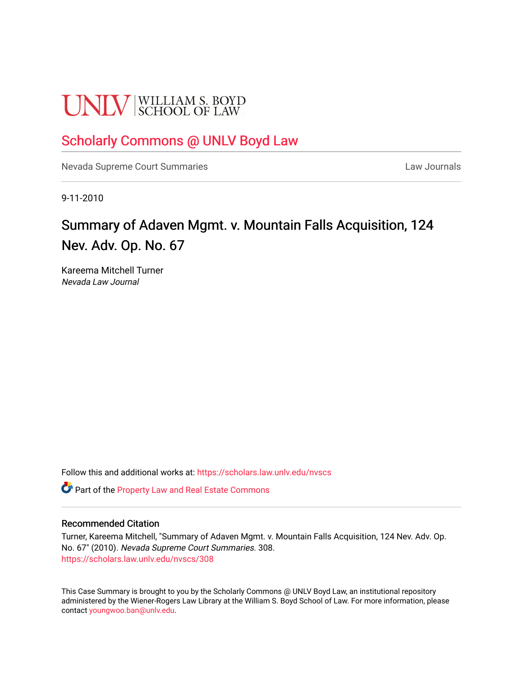# **UNLV** SCHOOL OF LAW

# [Scholarly Commons @ UNLV Boyd Law](https://scholars.law.unlv.edu/)

[Nevada Supreme Court Summaries](https://scholars.law.unlv.edu/nvscs) **Law Journals** Law Journals

9-11-2010

# Summary of Adaven Mgmt. v. Mountain Falls Acquisition, 124 Nev. Adv. Op. No. 67

Kareema Mitchell Turner Nevada Law Journal

Follow this and additional works at: [https://scholars.law.unlv.edu/nvscs](https://scholars.law.unlv.edu/nvscs?utm_source=scholars.law.unlv.edu%2Fnvscs%2F308&utm_medium=PDF&utm_campaign=PDFCoverPages)

Part of the [Property Law and Real Estate Commons](http://network.bepress.com/hgg/discipline/897?utm_source=scholars.law.unlv.edu%2Fnvscs%2F308&utm_medium=PDF&utm_campaign=PDFCoverPages) 

#### Recommended Citation

Turner, Kareema Mitchell, "Summary of Adaven Mgmt. v. Mountain Falls Acquisition, 124 Nev. Adv. Op. No. 67" (2010). Nevada Supreme Court Summaries. 308. [https://scholars.law.unlv.edu/nvscs/308](https://scholars.law.unlv.edu/nvscs/308?utm_source=scholars.law.unlv.edu%2Fnvscs%2F308&utm_medium=PDF&utm_campaign=PDFCoverPages)

This Case Summary is brought to you by the Scholarly Commons @ UNLV Boyd Law, an institutional repository administered by the Wiener-Rogers Law Library at the William S. Boyd School of Law. For more information, please contact [youngwoo.ban@unlv.edu](mailto:youngwoo.ban@unlv.edu).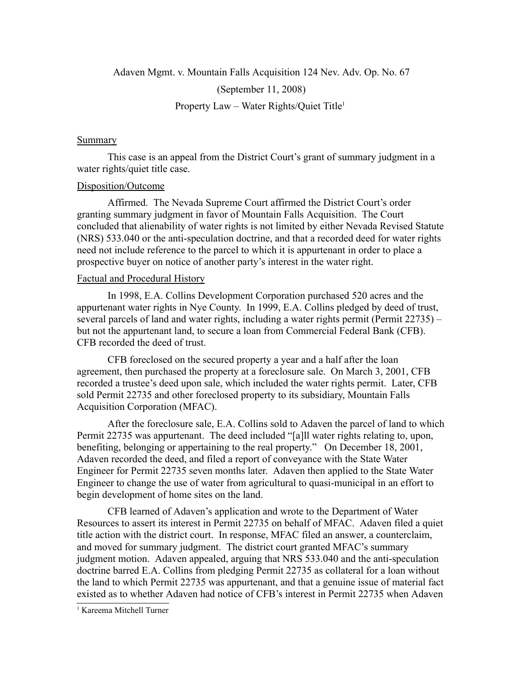Adaven Mgmt. v. Mountain Falls Acquisition 124 Nev. Adv. Op. No. 67

(September 11, 2008)

Property Law – Water Rights/Quiet Title<sup>1</sup>

### Summary

This case is an appeal from the District Court's grant of summary judgment in a water rights/quiet title case.

## Disposition/Outcome

Affirmed. The Nevada Supreme Court affirmed the District Court's order granting summary judgment in favor of Mountain Falls Acquisition. The Court concluded that alienability of water rights is not limited by either Nevada Revised Statute (NRS) 533.040 or the anti-speculation doctrine, and that a recorded deed for water rights need not include reference to the parcel to which it is appurtenant in order to place a prospective buyer on notice of another party's interest in the water right.

## Factual and Procedural History

In 1998, E.A. Collins Development Corporation purchased 520 acres and the appurtenant water rights in Nye County. In 1999, E.A. Collins pledged by deed of trust, several parcels of land and water rights, including a water rights permit (Permit 22735) – but not the appurtenant land, to secure a loan from Commercial Federal Bank (CFB). CFB recorded the deed of trust.

CFB foreclosed on the secured property a year and a half after the loan agreement, then purchased the property at a foreclosure sale. On March 3, 2001, CFB recorded a trustee's deed upon sale, which included the water rights permit. Later, CFB sold Permit 22735 and other foreclosed property to its subsidiary, Mountain Falls Acquisition Corporation (MFAC).

After the foreclosure sale, E.A. Collins sold to Adaven the parcel of land to which Permit 22735 was appurtenant. The deed included "[a]ll water rights relating to, upon, benefiting, belonging or appertaining to the real property." On December 18, 2001, Adaven recorded the deed, and filed a report of conveyance with the State Water Engineer for Permit 22735 seven months later. Adaven then applied to the State Water Engineer to change the use of water from agricultural to quasi-municipal in an effort to begin development of home sites on the land.

CFB learned of Adaven's application and wrote to the Department of Water Resources to assert its interest in Permit 22735 on behalf of MFAC. Adaven filed a quiet title action with the district court. In response, MFAC filed an answer, a counterclaim, and moved for summary judgment. The district court granted MFAC's summary judgment motion. Adaven appealed, arguing that NRS 533.040 and the anti-speculation doctrine barred E.A. Collins from pledging Permit 22735 as collateral for a loan without the land to which Permit 22735 was appurtenant, and that a genuine issue of material fact existed as to whether Adaven had notice of CFB's interest in Permit 22735 when Adaven

<sup>1</sup> Kareema Mitchell Turner